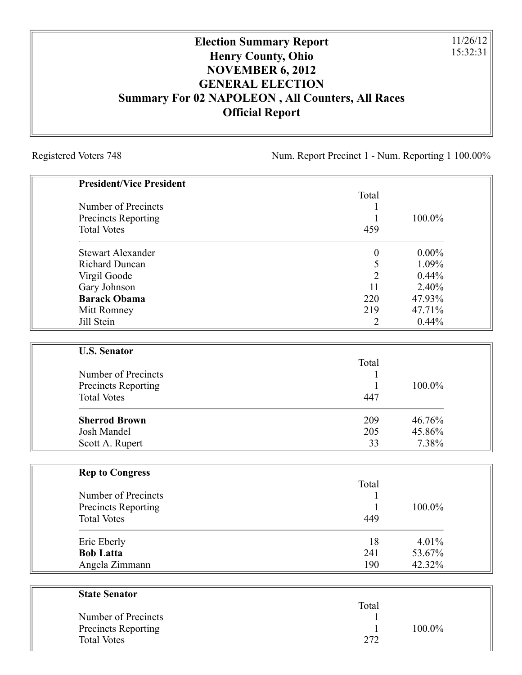## **Election Summary Report Henry County, Ohio NOVEMBER 6, 2012 GENERAL ELECTION Summary For 02 NAPOLEON , All Counters, All Races Official Report**

Registered Voters 748 Num. Report Precinct 1 - Num. Reporting 1 100.00%

11/26/12 15:32:31

| <b>President/Vice President</b> |                  |          |
|---------------------------------|------------------|----------|
|                                 | Total            |          |
| Number of Precincts             |                  |          |
| <b>Precincts Reporting</b>      | 1                | 100.0%   |
| <b>Total Votes</b>              | 459              |          |
| <b>Stewart Alexander</b>        | $\boldsymbol{0}$ | $0.00\%$ |
| <b>Richard Duncan</b>           | 5                | 1.09%    |
| Virgil Goode                    | $\overline{2}$   | 0.44%    |
| Gary Johnson                    | 11               | 2.40%    |
| <b>Barack Obama</b>             | 220              | 47.93%   |
| Mitt Romney                     | 219              | 47.71%   |
| Jill Stein                      | 2                | 0.44%    |
| <b>U.S. Senator</b>             |                  |          |
|                                 | Total            |          |
| Number of Precincts             | 1                |          |
| <b>Precincts Reporting</b>      |                  | 100.0%   |
| <b>Total Votes</b>              | 447              |          |
| <b>Sherrod Brown</b>            | 209              | 46.76%   |
| <b>Josh Mandel</b>              | 205              | 45.86%   |
| Scott A. Rupert                 | 33               | 7.38%    |
| <b>Rep to Congress</b>          |                  |          |
|                                 | Total            |          |
| Number of Precincts             |                  |          |
| Precincts Reporting             | 1                | 100.0%   |
| <b>Total Votes</b>              | 449              |          |
| Eric Eberly                     | 18               | 4.01%    |
| <b>Bob Latta</b>                | 241              | 53.67%   |
| Angela Zimmann                  | 190              | 42.32%   |
| <b>State Senator</b>            |                  |          |
|                                 | Total            |          |
| Number of Precincts             |                  |          |
|                                 |                  |          |

Precincts Reporting 1 100.0%

Total Votes 272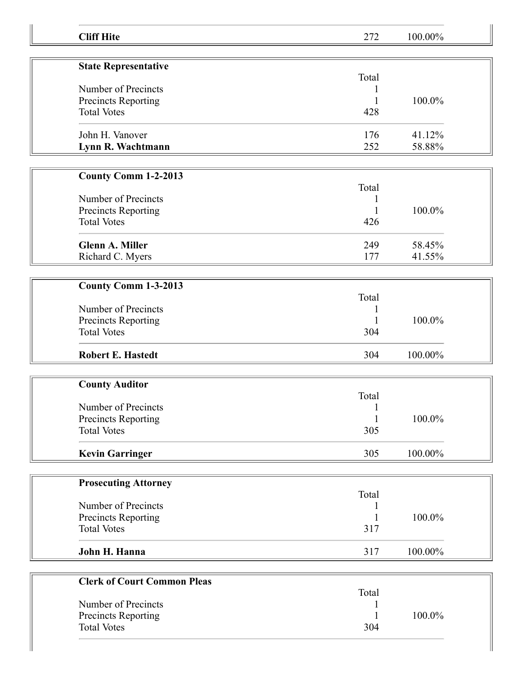| <b>Cliff Hite</b>                         | 272          | 100.00% |  |
|-------------------------------------------|--------------|---------|--|
|                                           |              |         |  |
| <b>State Representative</b>               | Total        |         |  |
| Number of Precincts                       |              |         |  |
| Precincts Reporting                       |              | 100.0%  |  |
| <b>Total Votes</b>                        | 428          |         |  |
| John H. Vanover                           | 176          | 41.12%  |  |
| Lynn R. Wachtmann                         | 252          | 58.88%  |  |
|                                           |              |         |  |
| <b>County Comm 1-2-2013</b>               | Total        |         |  |
| Number of Precincts                       | 1            |         |  |
| Precincts Reporting                       | 1            | 100.0%  |  |
| <b>Total Votes</b>                        | 426          |         |  |
|                                           |              |         |  |
| <b>Glenn A. Miller</b>                    | 249          | 58.45%  |  |
| Richard C. Myers                          | 177          | 41.55%  |  |
|                                           |              |         |  |
| County Comm 1-3-2013                      |              |         |  |
|                                           | Total        |         |  |
| Number of Precincts                       |              |         |  |
| Precincts Reporting                       |              | 100.0%  |  |
| <b>Total Votes</b>                        | 304          |         |  |
| <b>Robert E. Hastedt</b>                  | 304          | 100.00% |  |
|                                           |              |         |  |
| <b>County Auditor</b>                     |              |         |  |
|                                           | Total        |         |  |
| Number of Precincts                       | $\mathbf{1}$ |         |  |
| Precincts Reporting                       | 1            | 100.0%  |  |
| <b>Total Votes</b>                        | 305          |         |  |
| <b>Kevin Garringer</b>                    | 305          | 100.00% |  |
|                                           |              |         |  |
| <b>Prosecuting Attorney</b>               |              |         |  |
|                                           | Total        |         |  |
| Number of Precincts                       |              |         |  |
| Precincts Reporting<br><b>Total Votes</b> | 317          | 100.0%  |  |
|                                           |              |         |  |
| John H. Hanna                             | 317          | 100.00% |  |
|                                           |              |         |  |
| <b>Clerk of Court Common Pleas</b>        |              |         |  |
|                                           | Total        |         |  |
| Number of Precincts                       |              |         |  |
| Precincts Reporting                       |              | 100.0%  |  |
| <b>Total Votes</b>                        | 304          |         |  |
|                                           |              |         |  |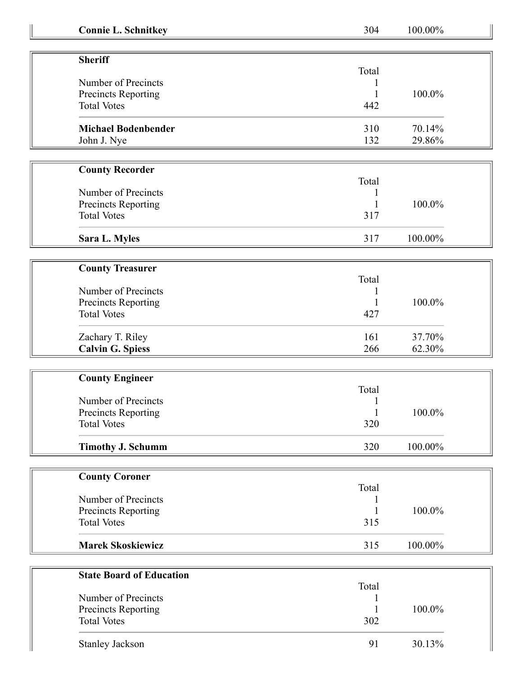| <b>Connie L. Schnitkey</b>                | 304   | 100.00%   |  |
|-------------------------------------------|-------|-----------|--|
|                                           |       |           |  |
| <b>Sheriff</b>                            |       |           |  |
|                                           | Total |           |  |
| Number of Precincts                       |       |           |  |
| Precincts Reporting<br><b>Total Votes</b> | 442   | 100.0%    |  |
|                                           |       |           |  |
| <b>Michael Bodenbender</b>                | 310   | 70.14%    |  |
| John J. Nye                               | 132   | 29.86%    |  |
|                                           |       |           |  |
| <b>County Recorder</b>                    |       |           |  |
|                                           | Total |           |  |
| Number of Precincts                       |       | 100.0%    |  |
| Precincts Reporting<br><b>Total Votes</b> | 317   |           |  |
|                                           |       |           |  |
| Sara L. Myles                             | 317   | 100.00%   |  |
|                                           |       |           |  |
| <b>County Treasurer</b>                   |       |           |  |
|                                           | Total |           |  |
| Number of Precincts                       |       |           |  |
| Precincts Reporting                       |       | 100.0%    |  |
| <b>Total Votes</b>                        | 427   |           |  |
| Zachary T. Riley                          | 161   | 37.70%    |  |
| <b>Calvin G. Spiess</b>                   | 266   | 62.30%    |  |
|                                           |       |           |  |
| <b>County Engineer</b>                    |       |           |  |
| Number of Precincts                       | Total |           |  |
| <b>Precincts Reporting</b>                | 1     | $100.0\%$ |  |
| <b>Total Votes</b>                        | 320   |           |  |
|                                           |       |           |  |
| <b>Timothy J. Schumm</b>                  | 320   | 100.00%   |  |
|                                           |       |           |  |
| <b>County Coroner</b>                     | Total |           |  |
| Number of Precincts                       |       |           |  |
| Precincts Reporting                       |       | 100.0%    |  |
| <b>Total Votes</b>                        | 315   |           |  |
|                                           |       |           |  |
| <b>Marek Skoskiewicz</b>                  | 315   | 100.00%   |  |
|                                           |       |           |  |
| <b>State Board of Education</b>           | Total |           |  |
| Number of Precincts                       |       |           |  |
| Precincts Reporting                       |       | 100.0%    |  |
| <b>Total Votes</b>                        | 302   |           |  |
|                                           |       |           |  |
| Stanley Jackson                           | 91    | 30.13%    |  |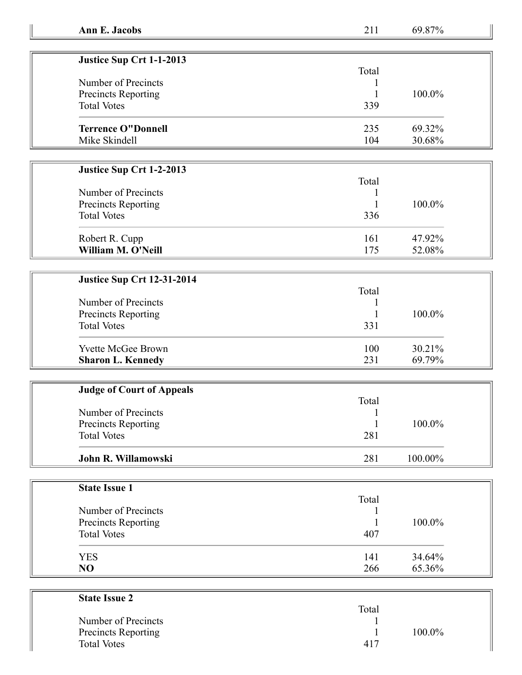69.87%

| Justice Sup Crt 1-1-2013   |       |        |
|----------------------------|-------|--------|
| Number of Precincts        | Total |        |
|                            |       |        |
| <b>Precincts Reporting</b> |       | 100.0% |
| <b>Total Votes</b>         | 339   |        |
| <b>Terrence O"Donnell</b>  | 235   | 69.32% |
| Mike Skindell              | 104   | 30.68% |

## **Justice Sup Crt 1-2-2013**

|                     | Total |        |
|---------------------|-------|--------|
| Number of Precincts |       |        |
| Precincts Reporting |       | 100.0% |
| <b>Total Votes</b>  | 336   |        |
| Robert R. Cupp      | 161   | 47.92% |
| William M. O'Neill  | 175   | 52.08% |

| <b>Justice Sup Crt 12-31-2014</b>                 |       |           |
|---------------------------------------------------|-------|-----------|
|                                                   | Total |           |
| Number of Precincts<br><b>Precincts Reporting</b> |       |           |
|                                                   |       | $100.0\%$ |
| <b>Total Votes</b>                                | 331   |           |
| <b>Yvette McGee Brown</b>                         | 100   | $30.21\%$ |
| <b>Sharon L. Kennedy</b>                          | 231   | 69.79%    |

| <b>Judge of Court of Appeals</b> |       |            |  |
|----------------------------------|-------|------------|--|
|                                  | Total |            |  |
| Number of Precincts              |       |            |  |
| <b>Precincts Reporting</b>       |       | $100.0\%$  |  |
| <b>Total Votes</b>               | 281   |            |  |
|                                  |       |            |  |
| John R. Willamowski              | 281   | $100.00\%$ |  |

| <b>State Issue 1</b> |       |        |
|----------------------|-------|--------|
|                      | Total |        |
| Number of Precincts  |       |        |
| Precincts Reporting  |       | 100.0% |
| <b>Total Votes</b>   | 407   |        |
| <b>YES</b>           | 141   | 34.64% |
| NO                   | 266   | 65.36% |

| <b>State Issue 2</b>       |       |        |
|----------------------------|-------|--------|
|                            | Total |        |
| Number of Precincts        |       |        |
| <b>Precincts Reporting</b> |       | 100.0% |
| <b>Total Votes</b>         | 417   |        |